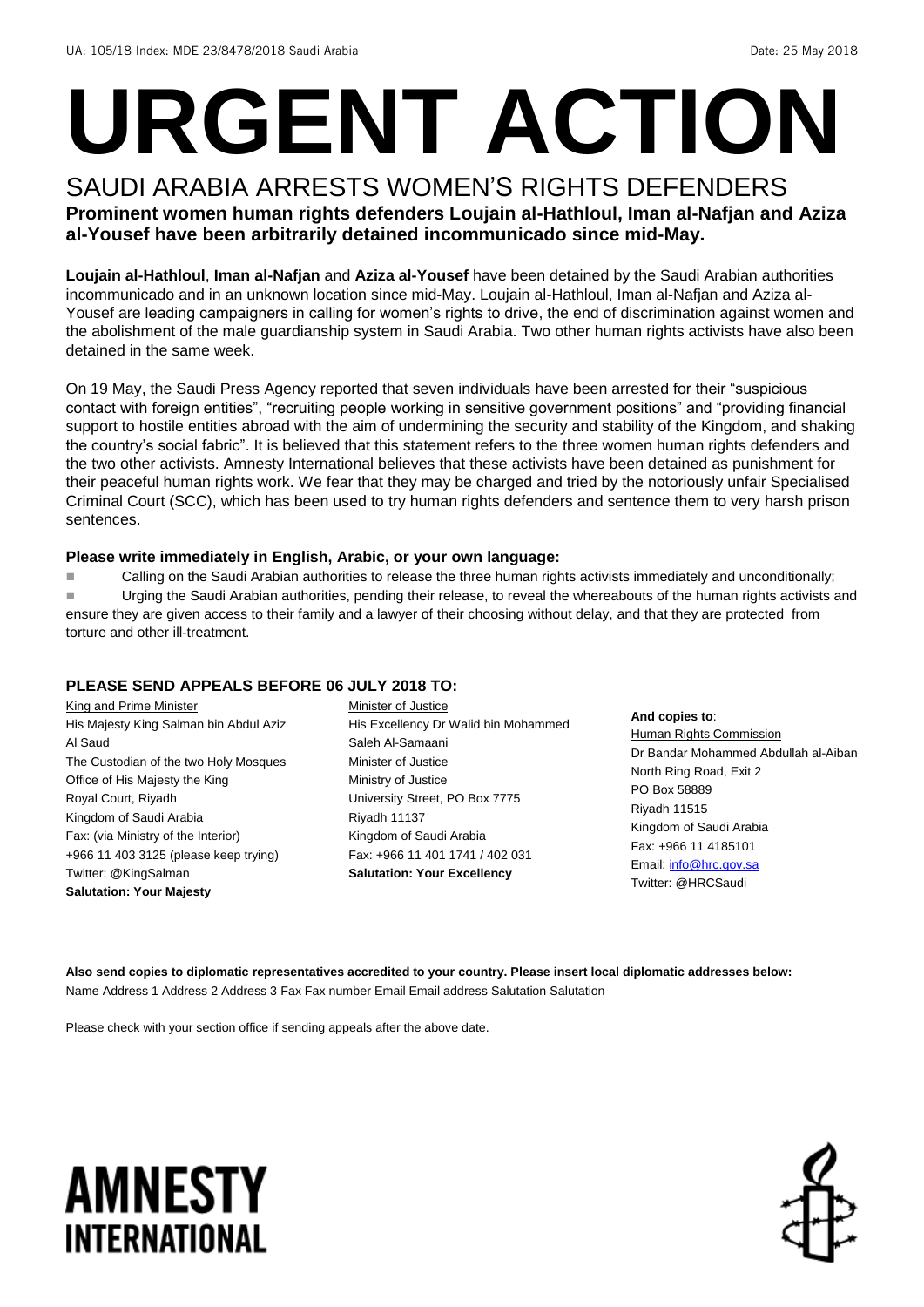# **URGENT ACTION**

#### SAUDI ARABIA ARRESTS WOMEN'S RIGHTS DEFENDERS **Prominent women human rights defenders Loujain al-Hathloul, Iman al-Nafjan and Aziza al-Yousef have been arbitrarily detained incommunicado since mid-May.**

**Loujain al-Hathloul**, **Iman al-Nafjan** and **Aziza al-Yousef** have been detained by the Saudi Arabian authorities incommunicado and in an unknown location since mid-May. Loujain al-Hathloul, Iman al-Nafjan and Aziza al-Yousef are leading campaigners in calling for women's rights to drive, the end of discrimination against women and the abolishment of the male guardianship system in Saudi Arabia. Two other human rights activists have also been detained in the same week.

On 19 May, the Saudi Press Agency reported that seven individuals have been arrested for their "suspicious contact with foreign entities", "recruiting people working in sensitive government positions" and "providing financial support to hostile entities abroad with the aim of undermining the security and stability of the Kingdom, and shaking the country's social fabric". It is believed that this statement refers to the three women human rights defenders and the two other activists. Amnesty International believes that these activists have been detained as punishment for their peaceful human rights work. We fear that they may be charged and tried by the notoriously unfair Specialised Criminal Court (SCC), which has been used to try human rights defenders and sentence them to very harsh prison sentences.

#### **Please write immediately in English, Arabic, or your own language:**

**Example 2** Calling on the Saudi Arabian authorities to release the three human rights activists immediately and unconditionally;

Urging the Saudi Arabian authorities, pending their release, to reveal the whereabouts of the human rights activists and ensure they are given access to their family and a lawyer of their choosing without delay, and that they are protected from torture and other ill-treatment.

#### **PLEASE SEND APPEALS BEFORE 06 JULY 2018 TO:**

King and Prime Minister His Majesty King Salman bin Abdul Aziz Al Saud The Custodian of the two Holy Mosques Office of His Majesty the King Royal Court, Riyadh Kingdom of Saudi Arabia Fax: (via Ministry of the Interior) +966 11 403 3125 (please keep trying) Twitter: @KingSalman **Salutation: Your Majesty**

- Minister of Justice His Excellency Dr Walid bin Mohammed Saleh Al-Samaani Minister of Justice Ministry of Justice University Street, PO Box 7775 Riyadh 11137 Kingdom of Saudi Arabia Fax: +966 11 401 1741 / 402 031 **Salutation: Your Excellency**
- **And copies to**:
- Human Rights Commission Dr Bandar Mohammed Abdullah al-Aiban North Ring Road, Exit 2 PO Box 58889 Riyadh 11515 Kingdom of Saudi Arabia Fax: +966 11 4185101 Email[: info@hrc.gov.sa](mailto:info@hrc.gov.sa) Twitter: @HRCSaudi

**Also send copies to diplomatic representatives accredited to your country. Please insert local diplomatic addresses below:** Name Address 1 Address 2 Address 3 Fax Fax number Email Email address Salutation Salutation

Please check with your section office if sending appeals after the above date.